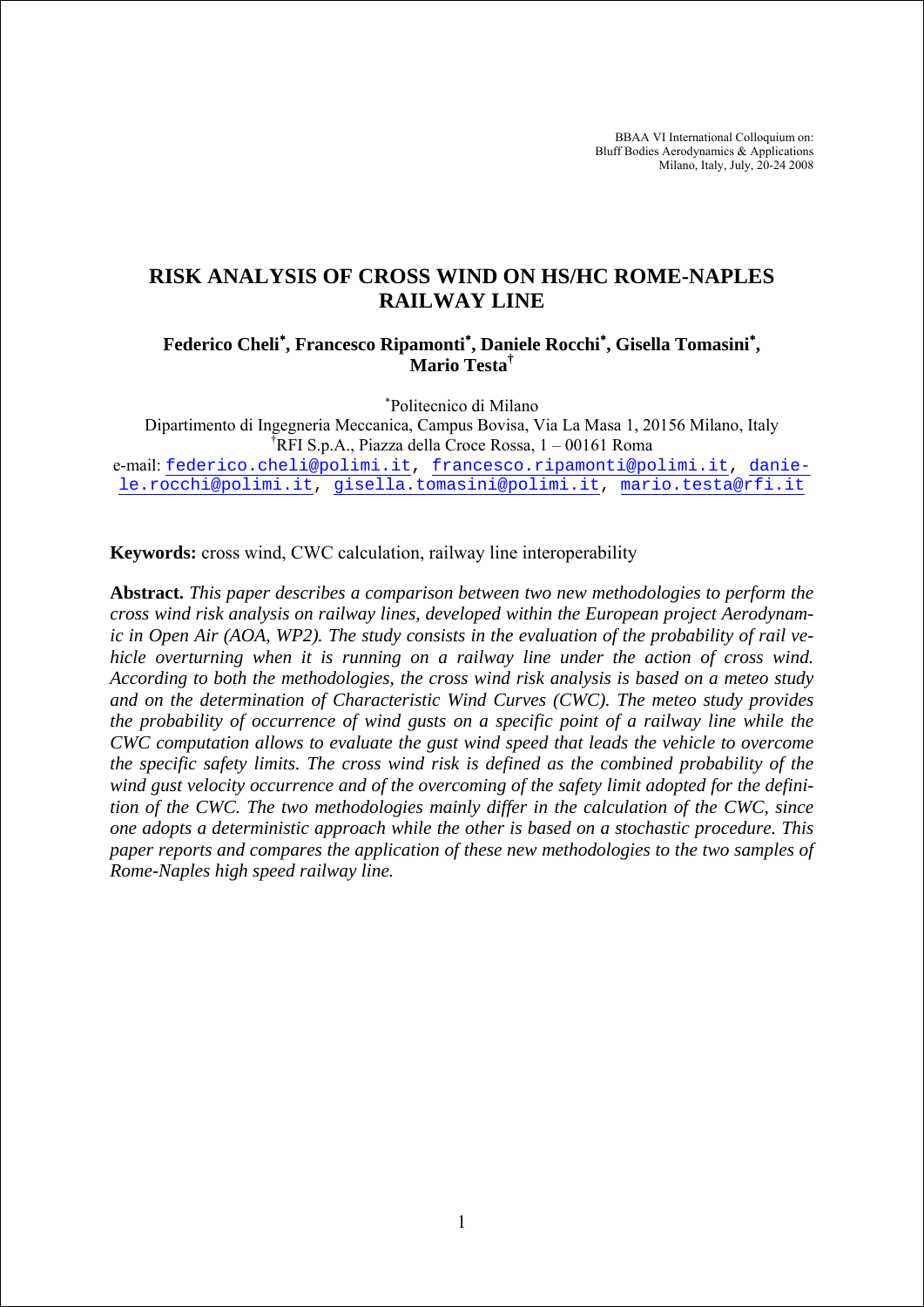BBAA VI International Colloquium on: Bluff Bodies Aerodynamics & Applications Milano, Italy, July, 20-24 2008

# **RISK ANALYSIS OF CROSS WIND ON HS/HC ROME-NAPLES RAILWAY LINE**

# **Federico Cheli**<sup>∗</sup> **, Francesco Ripamonti**<sup>∗</sup> **, Daniele Rocchi**<sup>∗</sup> **, Gisella Tomasini**<sup>∗</sup> **, Mario Testa†**

∗ Politecnico di Milano

Dipartimento di Ingegneria Meccanica, Campus Bovisa, Via La Masa 1, 20156 Milano, Italy † RFI S.p.A., Piazza della Croce Rossa, 1 – 00161 Roma e-mail: federico.cheli@polimi.it, francesco.ripamonti@polimi.it, danie-

le.rocchi@polimi.it, gisella.tomasini@polimi.it, mario.testa@rfi.it

**Keywords:** cross wind, CWC calculation, railway line interoperability

**Abstract.** *This paper describes a comparison between two new methodologies to perform the cross wind risk analysis on railway lines, developed within the European project Aerodynamic in Open Air (AOA, WP2). The study consists in the evaluation of the probability of rail vehicle overturning when it is running on a railway line under the action of cross wind. According to both the methodologies, the cross wind risk analysis is based on a meteo study and on the determination of Characteristic Wind Curves (CWC). The meteo study provides the probability of occurrence of wind gusts on a specific point of a railway line while the CWC computation allows to evaluate the gust wind speed that leads the vehicle to overcome the specific safety limits. The cross wind risk is defined as the combined probability of the wind gust velocity occurrence and of the overcoming of the safety limit adopted for the definition of the CWC. The two methodologies mainly differ in the calculation of the CWC, since one adopts a deterministic approach while the other is based on a stochastic procedure. This paper reports and compares the application of these new methodologies to the two samples of Rome-Naples high speed railway line.*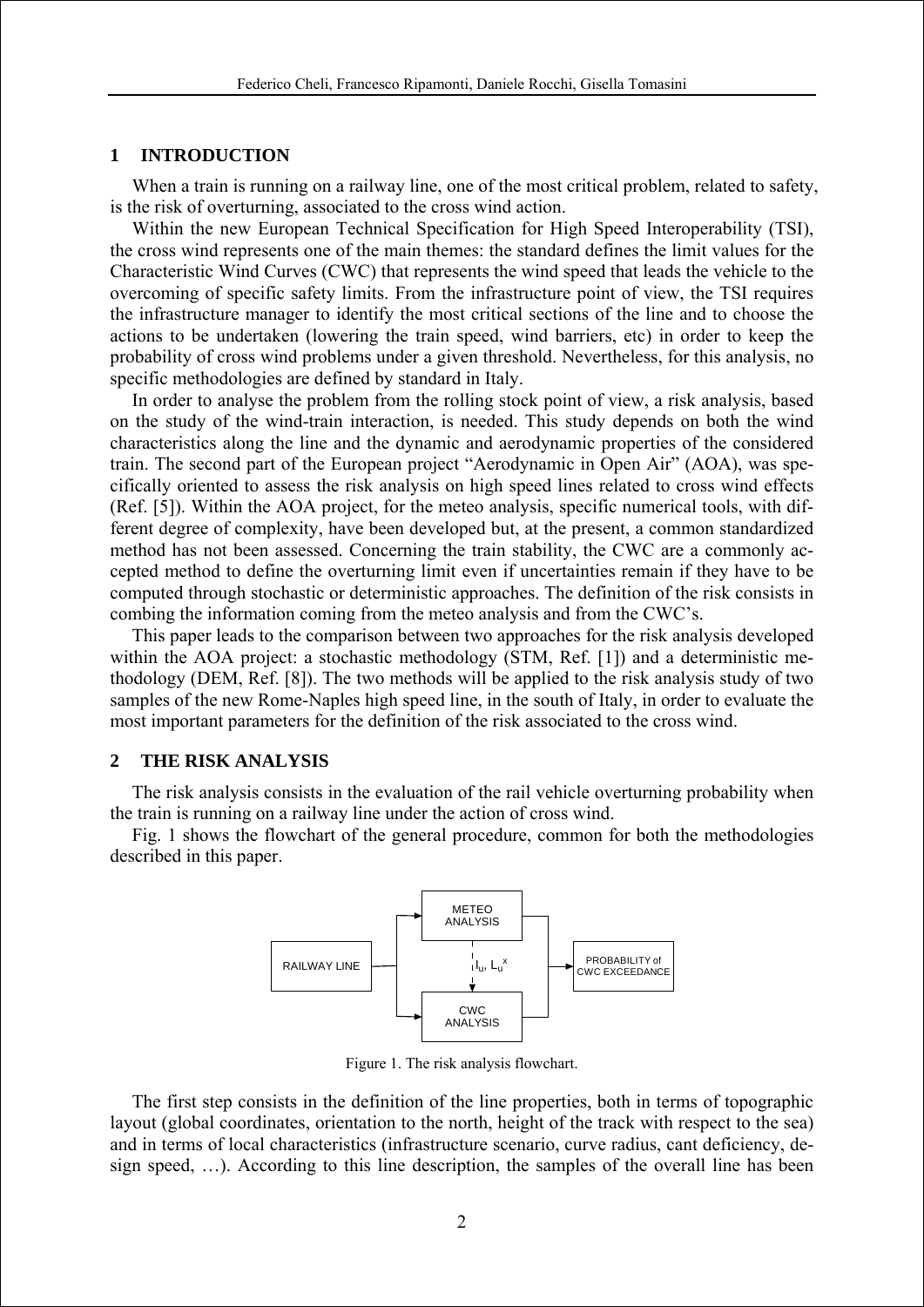#### **1 INTRODUCTION**

When a train is running on a railway line, one of the most critical problem, related to safety, is the risk of overturning, associated to the cross wind action.

Within the new European Technical Specification for High Speed Interoperability (TSI), the cross wind represents one of the main themes: the standard defines the limit values for the Characteristic Wind Curves (CWC) that represents the wind speed that leads the vehicle to the overcoming of specific safety limits. From the infrastructure point of view, the TSI requires the infrastructure manager to identify the most critical sections of the line and to choose the actions to be undertaken (lowering the train speed, wind barriers, etc) in order to keep the probability of cross wind problems under a given threshold. Nevertheless, for this analysis, no specific methodologies are defined by standard in Italy.

In order to analyse the problem from the rolling stock point of view, a risk analysis, based on the study of the wind-train interaction, is needed. This study depends on both the wind characteristics along the line and the dynamic and aerodynamic properties of the considered train. The second part of the European project "Aerodynamic in Open Air" (AOA), was specifically oriented to assess the risk analysis on high speed lines related to cross wind effects (Ref. [5]). Within the AOA project, for the meteo analysis, specific numerical tools, with different degree of complexity, have been developed but, at the present, a common standardized method has not been assessed. Concerning the train stability, the CWC are a commonly accepted method to define the overturning limit even if uncertainties remain if they have to be computed through stochastic or deterministic approaches. The definition of the risk consists in combing the information coming from the meteo analysis and from the CWC's.

This paper leads to the comparison between two approaches for the risk analysis developed within the AOA project: a stochastic methodology (STM, Ref. [1]) and a deterministic methodology (DEM, Ref. [8]). The two methods will be applied to the risk analysis study of two samples of the new Rome-Naples high speed line, in the south of Italy, in order to evaluate the most important parameters for the definition of the risk associated to the cross wind.

### **2 THE RISK ANALYSIS**

The risk analysis consists in the evaluation of the rail vehicle overturning probability when the train is running on a railway line under the action of cross wind.

Fig. 1 shows the flowchart of the general procedure, common for both the methodologies described in this paper.



Figure 1. The risk analysis flowchart.

The first step consists in the definition of the line properties, both in terms of topographic layout (global coordinates, orientation to the north, height of the track with respect to the sea) and in terms of local characteristics (infrastructure scenario, curve radius, cant deficiency, design speed, …). According to this line description, the samples of the overall line has been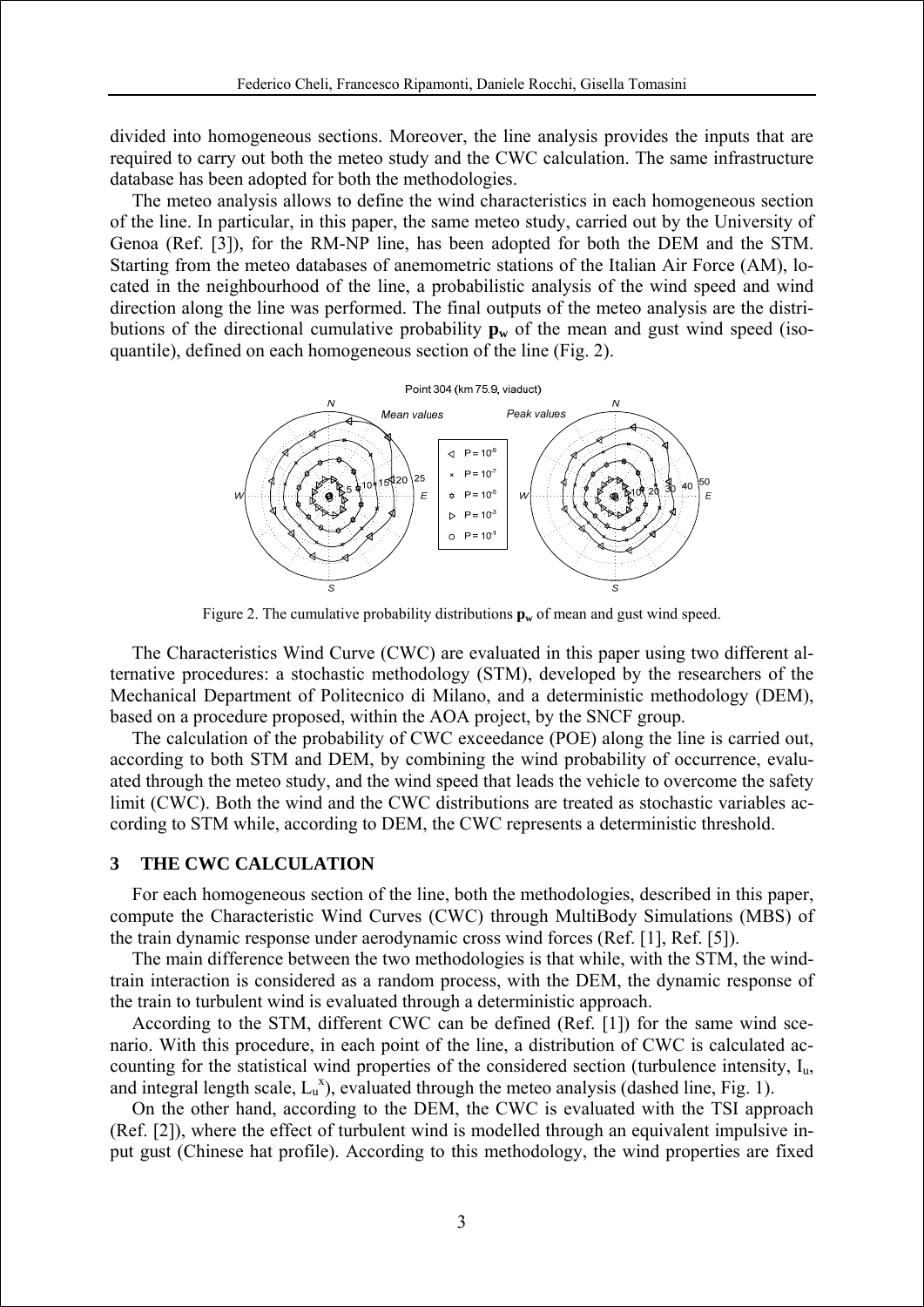divided into homogeneous sections. Moreover, the line analysis provides the inputs that are required to carry out both the meteo study and the CWC calculation. The same infrastructure database has been adopted for both the methodologies.

The meteo analysis allows to define the wind characteristics in each homogeneous section of the line. In particular, in this paper, the same meteo study, carried out by the University of Genoa (Ref. [3]), for the RM-NP line, has been adopted for both the DEM and the STM. Starting from the meteo databases of anemometric stations of the Italian Air Force (AM), located in the neighbourhood of the line, a probabilistic analysis of the wind speed and wind direction along the line was performed. The final outputs of the meteo analysis are the distributions of the directional cumulative probability  $\mathbf{p_w}$  of the mean and gust wind speed (isoquantile), defined on each homogeneous section of the line (Fig. 2).



Figure 2. The cumulative probability distributions  $\mathbf{p}_w$  of mean and gust wind speed.

The Characteristics Wind Curve (CWC) are evaluated in this paper using two different alternative procedures: a stochastic methodology (STM), developed by the researchers of the Mechanical Department of Politecnico di Milano, and a deterministic methodology (DEM), based on a procedure proposed, within the AOA project, by the SNCF group.

The calculation of the probability of CWC exceedance (POE) along the line is carried out, according to both STM and DEM, by combining the wind probability of occurrence, evaluated through the meteo study, and the wind speed that leads the vehicle to overcome the safety limit (CWC). Both the wind and the CWC distributions are treated as stochastic variables according to STM while, according to DEM, the CWC represents a deterministic threshold.

#### **3 THE CWC CALCULATION**

For each homogeneous section of the line, both the methodologies, described in this paper, compute the Characteristic Wind Curves (CWC) through MultiBody Simulations (MBS) of the train dynamic response under aerodynamic cross wind forces (Ref. [1], Ref. [5]).

The main difference between the two methodologies is that while, with the STM, the windtrain interaction is considered as a random process, with the DEM, the dynamic response of the train to turbulent wind is evaluated through a deterministic approach.

According to the STM, different CWC can be defined (Ref. [1]) for the same wind scenario. With this procedure, in each point of the line, a distribution of CWC is calculated accounting for the statistical wind properties of the considered section (turbulence intensity, Iu, and integral length scale,  $L_{u}^{x}$ ), evaluated through the meteo analysis (dashed line, Fig. 1).

On the other hand, according to the DEM, the CWC is evaluated with the TSI approach (Ref. [2]), where the effect of turbulent wind is modelled through an equivalent impulsive input gust (Chinese hat profile). According to this methodology, the wind properties are fixed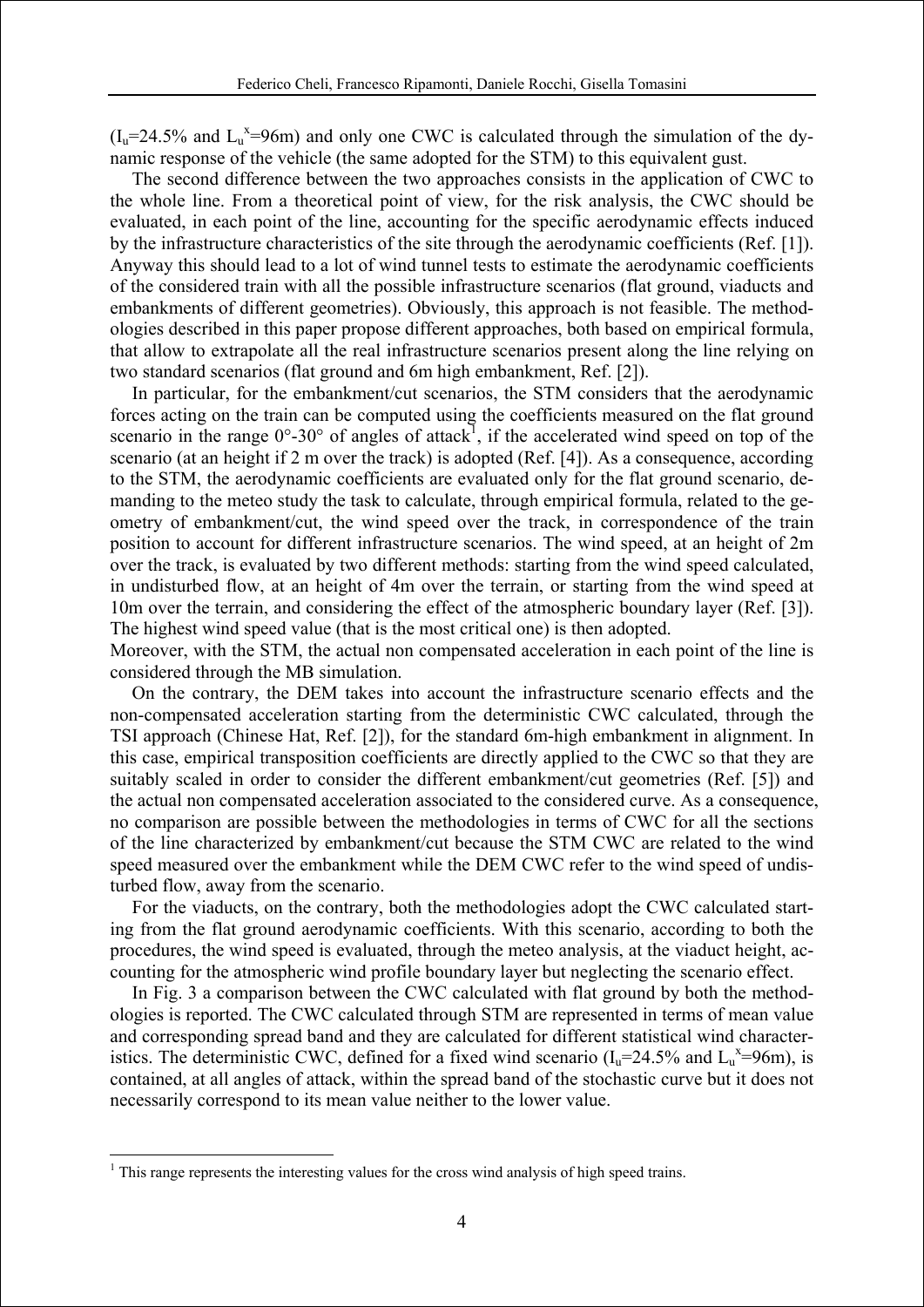$(I_u=24.5\%$  and  $L_u^x=96$ m) and only one CWC is calculated through the simulation of the dynamic response of the vehicle (the same adopted for the STM) to this equivalent gust.

The second difference between the two approaches consists in the application of CWC to the whole line. From a theoretical point of view, for the risk analysis, the CWC should be evaluated, in each point of the line, accounting for the specific aerodynamic effects induced by the infrastructure characteristics of the site through the aerodynamic coefficients (Ref. [1]). Anyway this should lead to a lot of wind tunnel tests to estimate the aerodynamic coefficients of the considered train with all the possible infrastructure scenarios (flat ground, viaducts and embankments of different geometries). Obviously, this approach is not feasible. The methodologies described in this paper propose different approaches, both based on empirical formula, that allow to extrapolate all the real infrastructure scenarios present along the line relying on two standard scenarios (flat ground and 6m high embankment, Ref. [2]).

In particular, for the embankment/cut scenarios, the STM considers that the aerodynamic forces acting on the train can be computed using the coefficients measured on the flat ground scenario in the range  $0^{\circ}$ -30° of angles of attack<sup>1</sup>, if the accelerated wind speed on top of the scenario (at an height if 2 m over the track) is adopted (Ref. [4]). As a consequence, according to the STM, the aerodynamic coefficients are evaluated only for the flat ground scenario, demanding to the meteo study the task to calculate, through empirical formula, related to the geometry of embankment/cut, the wind speed over the track, in correspondence of the train position to account for different infrastructure scenarios. The wind speed, at an height of 2m over the track, is evaluated by two different methods: starting from the wind speed calculated, in undisturbed flow, at an height of 4m over the terrain, or starting from the wind speed at 10m over the terrain, and considering the effect of the atmospheric boundary layer (Ref. [3]). The highest wind speed value (that is the most critical one) is then adopted.

Moreover, with the STM, the actual non compensated acceleration in each point of the line is considered through the MB simulation.

On the contrary, the DEM takes into account the infrastructure scenario effects and the non-compensated acceleration starting from the deterministic CWC calculated, through the TSI approach (Chinese Hat, Ref. [2]), for the standard 6m-high embankment in alignment. In this case, empirical transposition coefficients are directly applied to the CWC so that they are suitably scaled in order to consider the different embankment/cut geometries (Ref. [5]) and the actual non compensated acceleration associated to the considered curve. As a consequence, no comparison are possible between the methodologies in terms of CWC for all the sections of the line characterized by embankment/cut because the STM CWC are related to the wind speed measured over the embankment while the DEM CWC refer to the wind speed of undisturbed flow, away from the scenario.

For the viaducts, on the contrary, both the methodologies adopt the CWC calculated starting from the flat ground aerodynamic coefficients. With this scenario, according to both the procedures, the wind speed is evaluated, through the meteo analysis, at the viaduct height, accounting for the atmospheric wind profile boundary layer but neglecting the scenario effect.

In Fig. 3 a comparison between the CWC calculated with flat ground by both the methodologies is reported. The CWC calculated through STM are represented in terms of mean value and corresponding spread band and they are calculated for different statistical wind characteristics. The deterministic CWC, defined for a fixed wind scenario ( $I_u$ =24.5% and  $L_u$ <sup>x</sup>=96m), is contained, at all angles of attack, within the spread band of the stochastic curve but it does not necessarily correspond to its mean value neither to the lower value.

1

<sup>&</sup>lt;sup>1</sup> This range represents the interesting values for the cross wind analysis of high speed trains.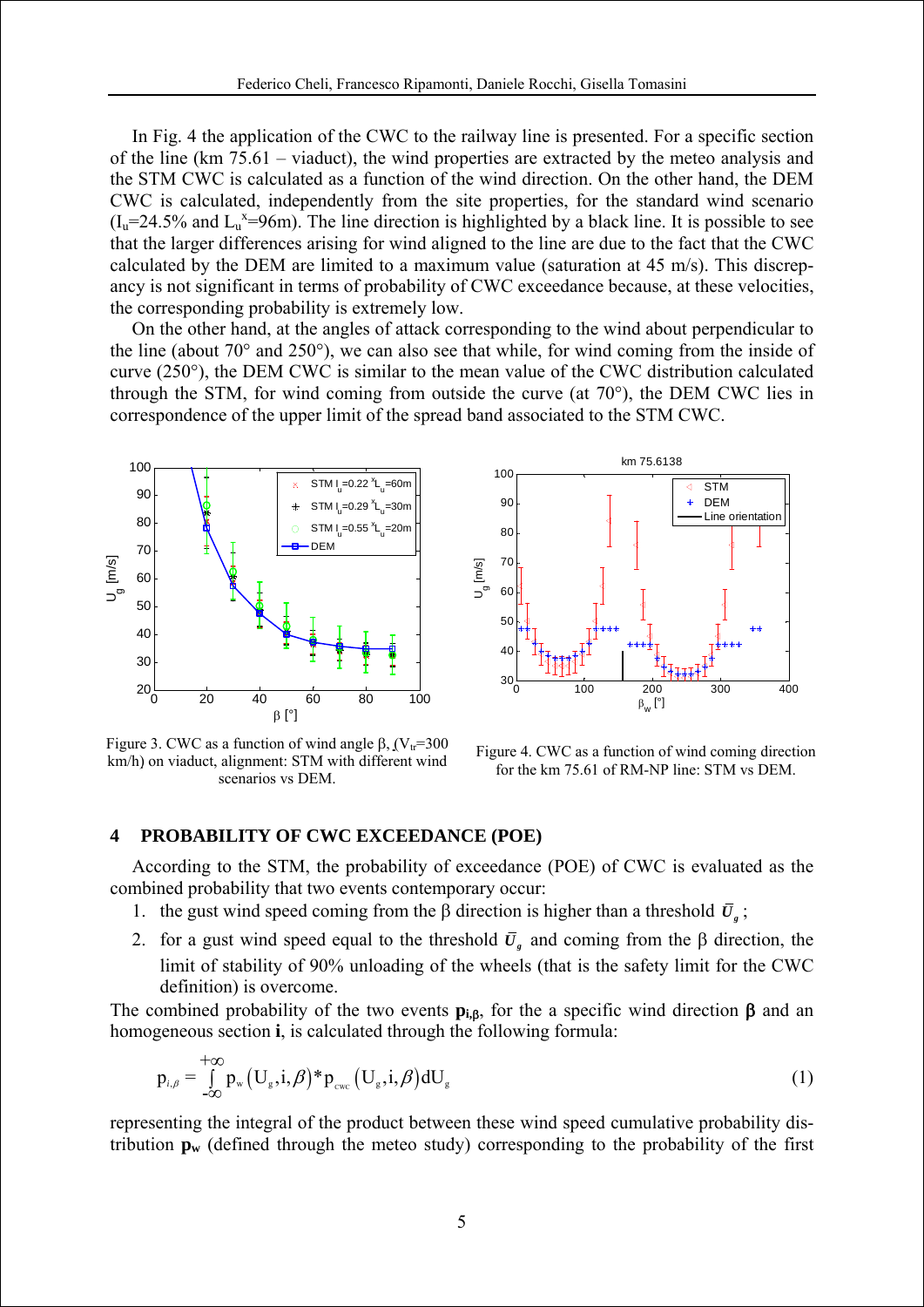In Fig. 4 the application of the CWC to the railway line is presented. For a specific section of the line (km 75.61 – viaduct), the wind properties are extracted by the meteo analysis and the STM CWC is calculated as a function of the wind direction. On the other hand, the DEM CWC is calculated, independently from the site properties, for the standard wind scenario  $(I_u=24.5\%$  and  $L_u^x=96$ m). The line direction is highlighted by a black line. It is possible to see that the larger differences arising for wind aligned to the line are due to the fact that the CWC calculated by the DEM are limited to a maximum value (saturation at 45 m/s). This discrepancy is not significant in terms of probability of CWC exceedance because, at these velocities, the corresponding probability is extremely low.

On the other hand, at the angles of attack corresponding to the wind about perpendicular to the line (about 70° and 250°), we can also see that while, for wind coming from the inside of curve (250°), the DEM CWC is similar to the mean value of the CWC distribution calculated through the STM, for wind coming from outside the curve (at 70°), the DEM CWC lies in correspondence of the upper limit of the spread band associated to the STM CWC.



Figure 3. CWC as a function of wind angle β,  $(V<sub>tr</sub>=300$ km/h) on viaduct, alignment: STM with different wind scenarios vs DEM.



Figure 4. CWC as a function of wind coming direction for the km 75.61 of RM-NP line: STM vs DEM.

#### **4 PROBABILITY OF CWC EXCEEDANCE (POE)**

According to the STM, the probability of exceedance (POE) of CWC is evaluated as the combined probability that two events contemporary occur:

- 1. the gust wind speed coming from the β direction is higher than a threshold  $\bar{U}_e$ ;
- 2. for a gust wind speed equal to the threshold  $\bar{U}_g$  and coming from the β direction, the limit of stability of 90% unloading of the wheels (that is the safety limit for the CWC definition) is overcome.

The combined probability of the two events  $\mathbf{p}_{i,\beta}$ , for the a specific wind direction  $\beta$  and an homogeneous section **i**, is calculated through the following formula:

$$
p_{i,\beta} = \int_{-\infty}^{+\infty} p_w (U_g, i, \beta)^* p_{\text{cyc}} (U_g, i, \beta) dU_g
$$
 (1)

representing the integral of the product between these wind speed cumulative probability distribution  $\mathbf{p}_w$  (defined through the meteo study) corresponding to the probability of the first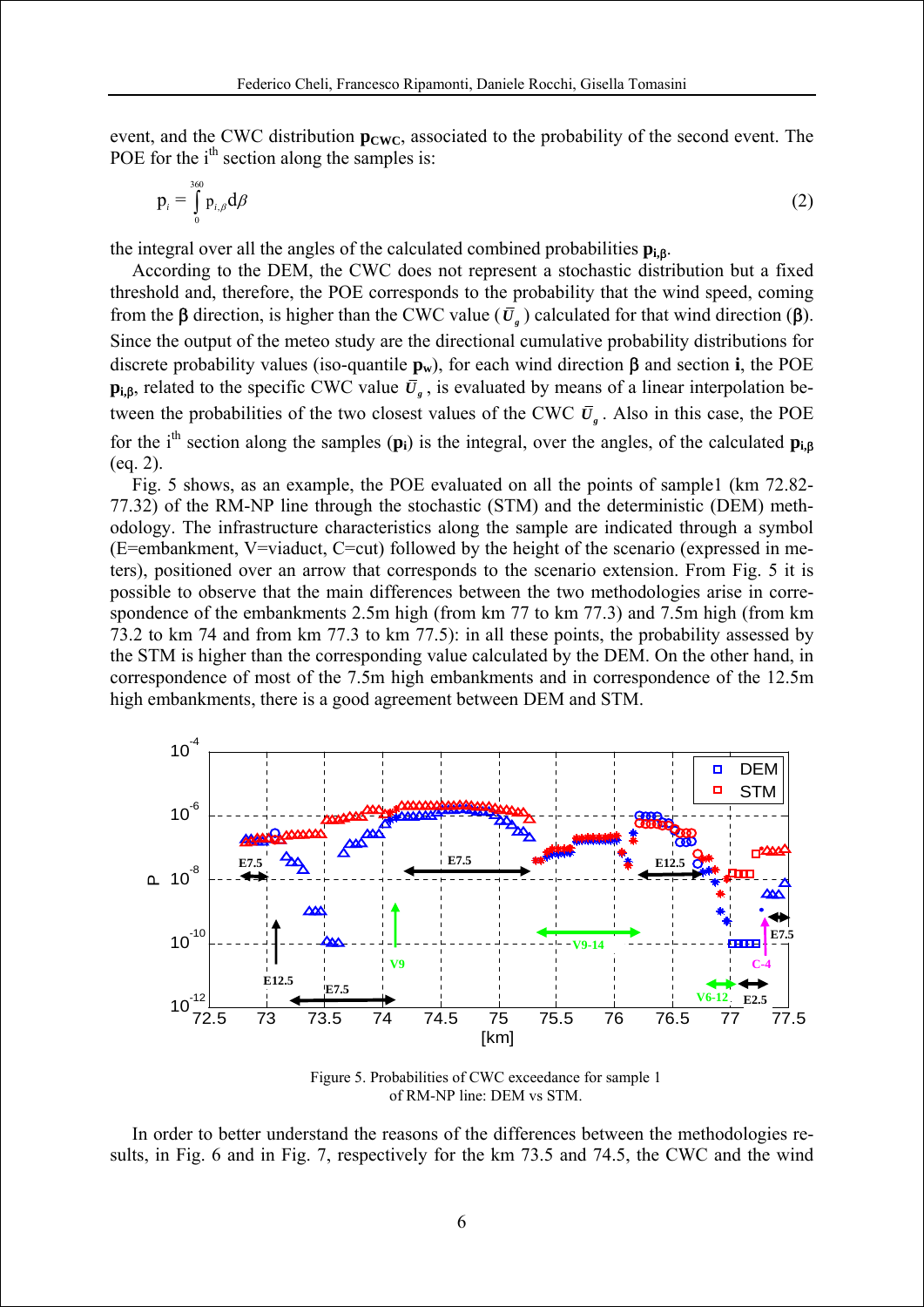event, and the CWC distribution  $p_{CWC}$ , associated to the probability of the second event. The POE for the  $i<sup>th</sup>$  section along the samples is:

$$
p_i = \int_0^{360} p_{i,\beta} d\beta
$$
 (2)

the integral over all the angles of the calculated combined probabilities **pi,**β.

According to the DEM, the CWC does not represent a stochastic distribution but a fixed threshold and, therefore, the POE corresponds to the probability that the wind speed, coming from the β direction, is higher than the CWC value ( $\bar{U}_i$ ) calculated for that wind direction (β). Since the output of the meteo study are the directional cumulative probability distributions for discrete probability values (iso-quantile  $\mathbf{p}_w$ ), for each wind direction  $\beta$  and section **i**, the POE **p**<sub>i,β</sub>, related to the specific CWC value  $\bar{U}_g$ , is evaluated by means of a linear interpolation between the probabilities of the two closest values of the CWC  $\bar{U}_r$ . Also in this case, the POE for the ith section along the samples (**pi**) is the integral, over the angles, of the calculated **pi,**<sup>β</sup> (eq. 2).

Fig. 5 shows, as an example, the POE evaluated on all the points of sample1 (km 72.82- 77.32) of the RM-NP line through the stochastic (STM) and the deterministic (DEM) methodology. The infrastructure characteristics along the sample are indicated through a symbol (E=embankment, V=viaduct, C=cut) followed by the height of the scenario (expressed in meters), positioned over an arrow that corresponds to the scenario extension. From Fig. 5 it is possible to observe that the main differences between the two methodologies arise in correspondence of the embankments 2.5m high (from km 77 to km 77.3) and 7.5m high (from km 73.2 to km 74 and from km 77.3 to km 77.5): in all these points, the probability assessed by the STM is higher than the corresponding value calculated by the DEM. On the other hand, in correspondence of most of the 7.5m high embankments and in correspondence of the 12.5m high embankments, there is a good agreement between DEM and STM.



Figure 5. Probabilities of CWC exceedance for sample 1 of RM-NP line: DEM vs STM.

In order to better understand the reasons of the differences between the methodologies results, in Fig. 6 and in Fig. 7, respectively for the km 73.5 and 74.5, the CWC and the wind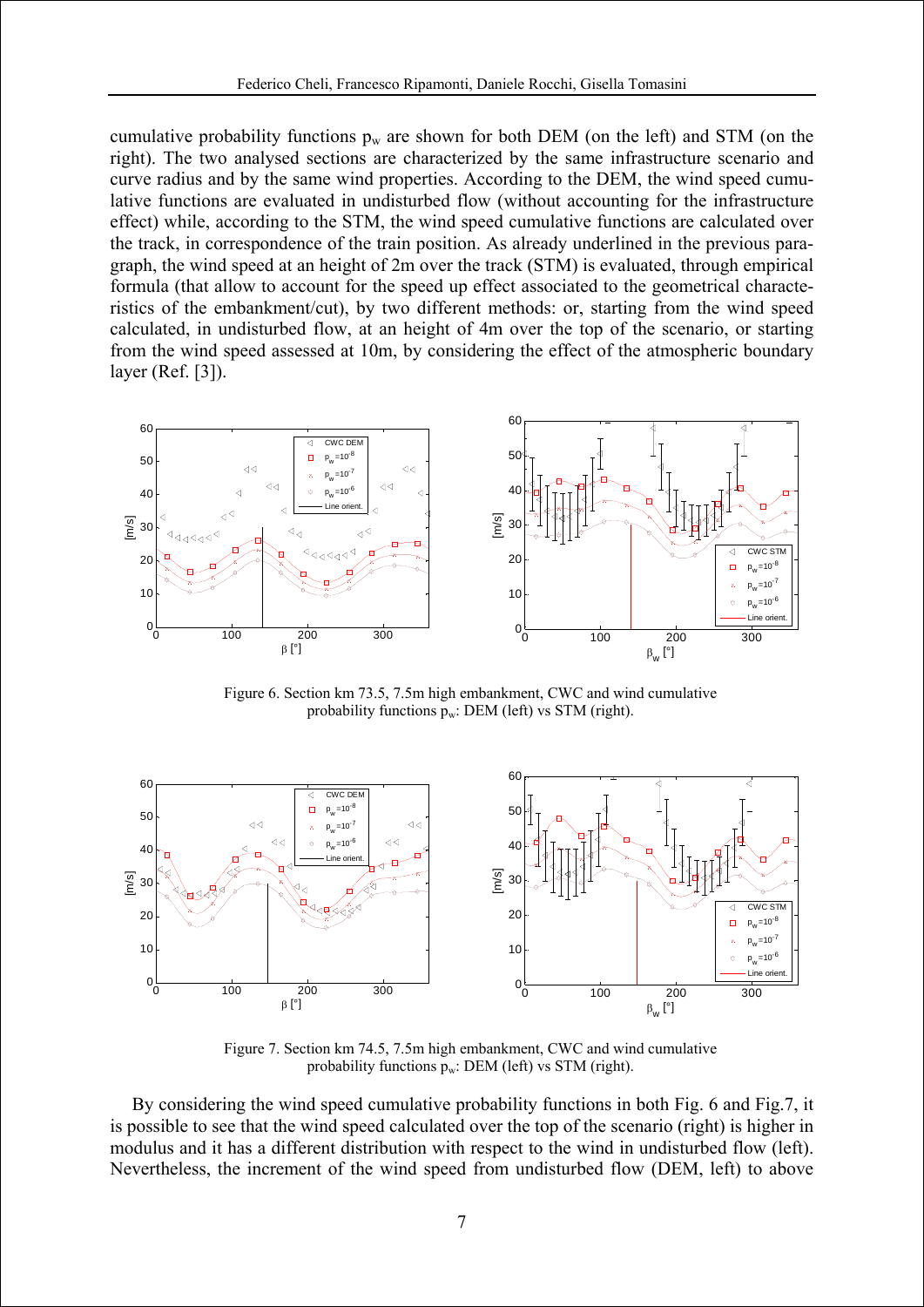cumulative probability functions  $p_w$  are shown for both DEM (on the left) and STM (on the right). The two analysed sections are characterized by the same infrastructure scenario and curve radius and by the same wind properties. According to the DEM, the wind speed cumulative functions are evaluated in undisturbed flow (without accounting for the infrastructure effect) while, according to the STM, the wind speed cumulative functions are calculated over the track, in correspondence of the train position. As already underlined in the previous paragraph, the wind speed at an height of 2m over the track (STM) is evaluated, through empirical formula (that allow to account for the speed up effect associated to the geometrical characteristics of the embankment/cut), by two different methods: or, starting from the wind speed calculated, in undisturbed flow, at an height of 4m over the top of the scenario, or starting from the wind speed assessed at 10m, by considering the effect of the atmospheric boundary layer (Ref. [3]).



Figure 6. Section km 73.5, 7.5m high embankment, CWC and wind cumulative probability functions  $p_w$ : DEM (left) vs STM (right).



Figure 7. Section km 74.5, 7.5m high embankment, CWC and wind cumulative probability functions  $p_w$ : DEM (left) vs STM (right).

By considering the wind speed cumulative probability functions in both Fig. 6 and Fig.7, it is possible to see that the wind speed calculated over the top of the scenario (right) is higher in modulus and it has a different distribution with respect to the wind in undisturbed flow (left). Nevertheless, the increment of the wind speed from undisturbed flow (DEM, left) to above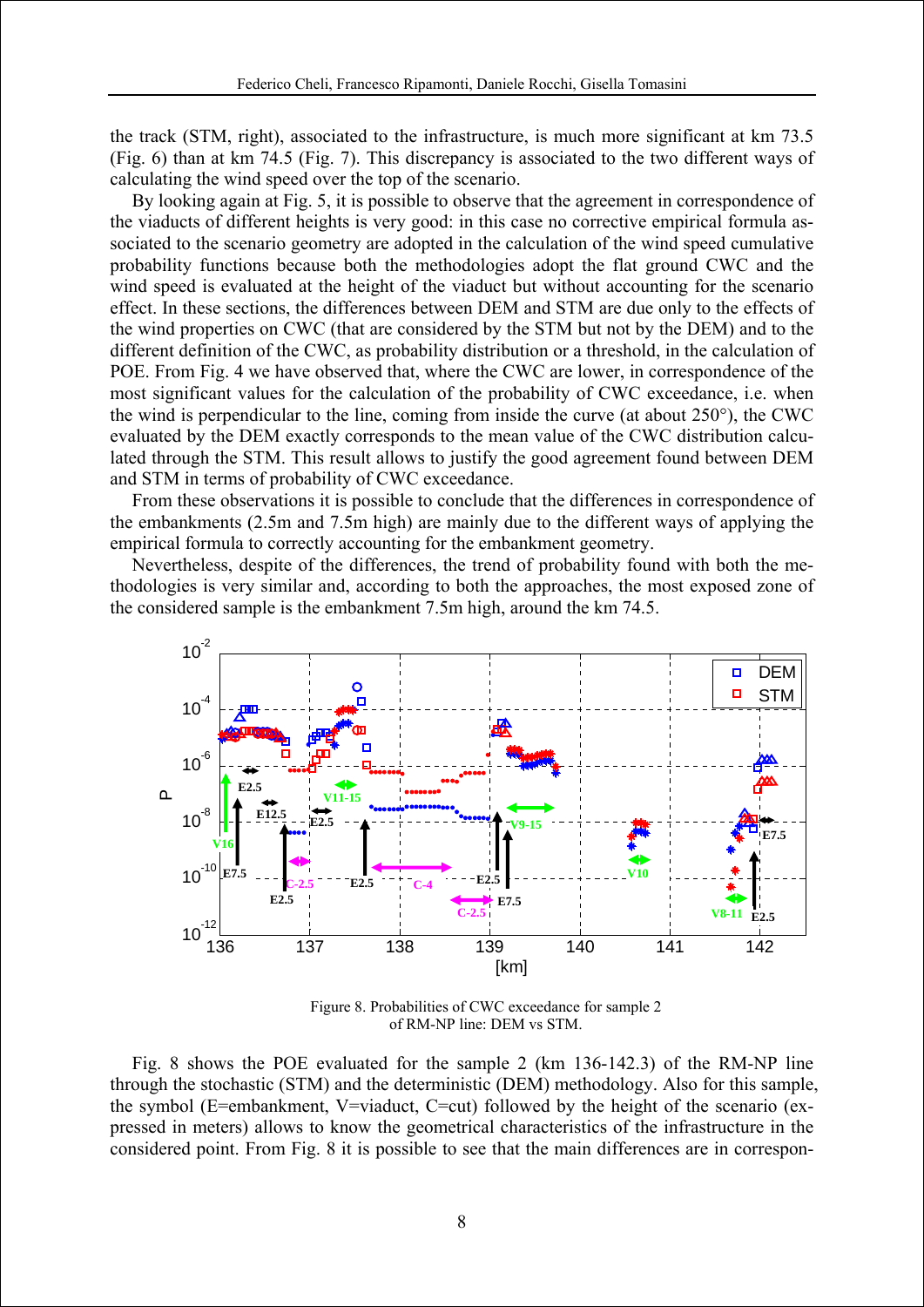the track (STM, right), associated to the infrastructure, is much more significant at km 73.5 (Fig. 6) than at km 74.5 (Fig. 7). This discrepancy is associated to the two different ways of calculating the wind speed over the top of the scenario.

By looking again at Fig. 5, it is possible to observe that the agreement in correspondence of the viaducts of different heights is very good: in this case no corrective empirical formula associated to the scenario geometry are adopted in the calculation of the wind speed cumulative probability functions because both the methodologies adopt the flat ground CWC and the wind speed is evaluated at the height of the viaduct but without accounting for the scenario effect. In these sections, the differences between DEM and STM are due only to the effects of the wind properties on CWC (that are considered by the STM but not by the DEM) and to the different definition of the CWC, as probability distribution or a threshold, in the calculation of POE. From Fig. 4 we have observed that, where the CWC are lower, in correspondence of the most significant values for the calculation of the probability of CWC exceedance, i.e. when the wind is perpendicular to the line, coming from inside the curve (at about 250°), the CWC evaluated by the DEM exactly corresponds to the mean value of the CWC distribution calculated through the STM. This result allows to justify the good agreement found between DEM and STM in terms of probability of CWC exceedance.

From these observations it is possible to conclude that the differences in correspondence of the embankments (2.5m and 7.5m high) are mainly due to the different ways of applying the empirical formula to correctly accounting for the embankment geometry.

Nevertheless, despite of the differences, the trend of probability found with both the methodologies is very similar and, according to both the approaches, the most exposed zone of the considered sample is the embankment 7.5m high, around the km 74.5.



Figure 8. Probabilities of CWC exceedance for sample 2 of RM-NP line: DEM vs STM.

Fig. 8 shows the POE evaluated for the sample 2 (km 136-142.3) of the RM-NP line through the stochastic (STM) and the deterministic (DEM) methodology. Also for this sample, the symbol (E=embankment, V=viaduct, C=cut) followed by the height of the scenario (expressed in meters) allows to know the geometrical characteristics of the infrastructure in the considered point. From Fig. 8 it is possible to see that the main differences are in correspon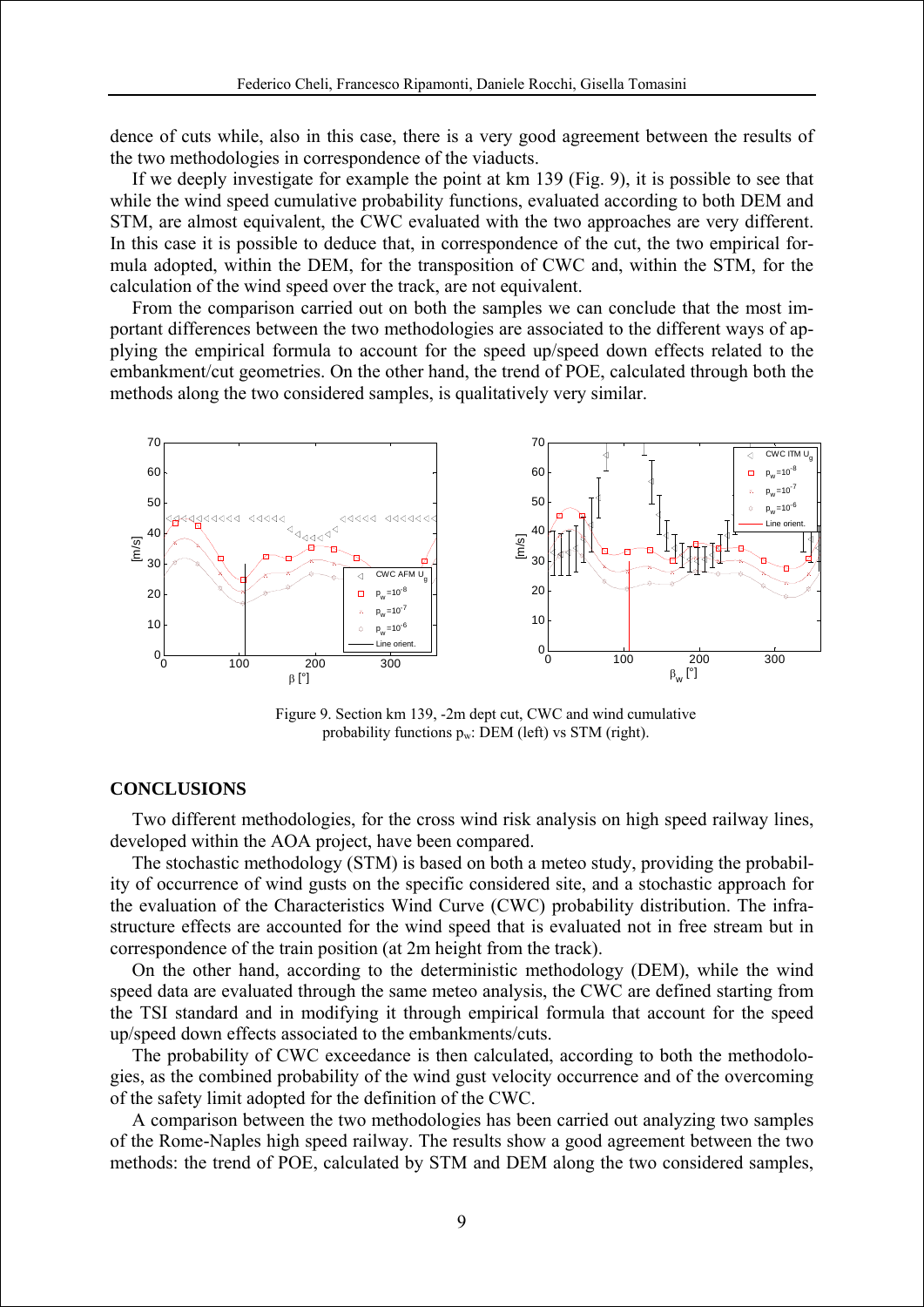dence of cuts while, also in this case, there is a very good agreement between the results of the two methodologies in correspondence of the viaducts.

If we deeply investigate for example the point at km 139 (Fig. 9), it is possible to see that while the wind speed cumulative probability functions, evaluated according to both DEM and STM, are almost equivalent, the CWC evaluated with the two approaches are very different. In this case it is possible to deduce that, in correspondence of the cut, the two empirical formula adopted, within the DEM, for the transposition of CWC and, within the STM, for the calculation of the wind speed over the track, are not equivalent.

From the comparison carried out on both the samples we can conclude that the most important differences between the two methodologies are associated to the different ways of applying the empirical formula to account for the speed up/speed down effects related to the embankment/cut geometries. On the other hand, the trend of POE, calculated through both the methods along the two considered samples, is qualitatively very similar.



Figure 9. Section km 139, -2m dept cut, CWC and wind cumulative probability functions  $p_w$ : DEM (left) vs STM (right).

#### **CONCLUSIONS**

Two different methodologies, for the cross wind risk analysis on high speed railway lines, developed within the AOA project, have been compared.

The stochastic methodology (STM) is based on both a meteo study, providing the probability of occurrence of wind gusts on the specific considered site, and a stochastic approach for the evaluation of the Characteristics Wind Curve (CWC) probability distribution. The infrastructure effects are accounted for the wind speed that is evaluated not in free stream but in correspondence of the train position (at 2m height from the track).

On the other hand, according to the deterministic methodology (DEM), while the wind speed data are evaluated through the same meteo analysis, the CWC are defined starting from the TSI standard and in modifying it through empirical formula that account for the speed up/speed down effects associated to the embankments/cuts.

The probability of CWC exceedance is then calculated, according to both the methodologies, as the combined probability of the wind gust velocity occurrence and of the overcoming of the safety limit adopted for the definition of the CWC.

A comparison between the two methodologies has been carried out analyzing two samples of the Rome-Naples high speed railway. The results show a good agreement between the two methods: the trend of POE, calculated by STM and DEM along the two considered samples,